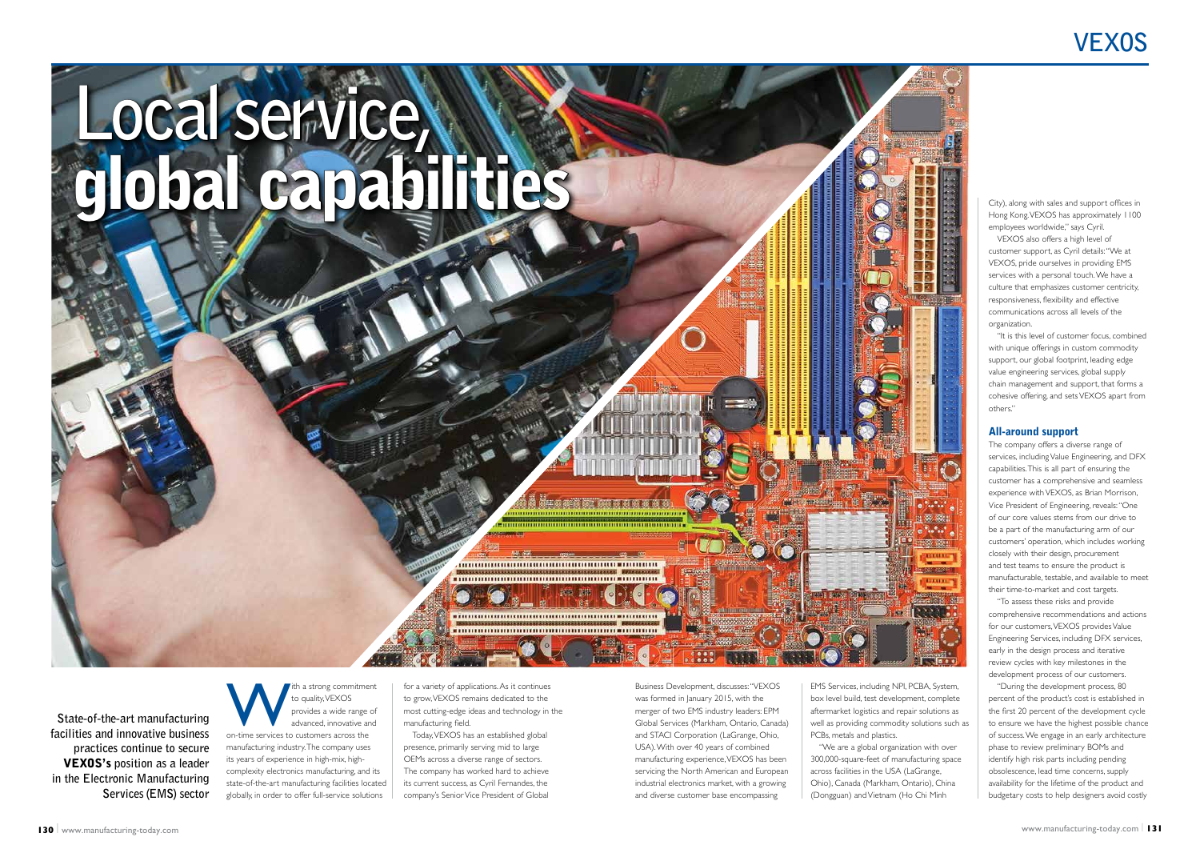Business Development, discusses: "VEXOS was formed in January 2015, with the merger of two EMS industry leaders: EPM Global Services (Markham, Ontario, Canada) and STACI Corporation (LaGrange, Ohio, USA). With over 40 years of combined manufacturing experience, VEXOS has been servicing the North American and European industrial electronics market, with a growing and diverse customer base encompassing

for a variety of applications. As it continues to grow, VEXOS remains dedicated to the most cutting-edge ideas and technology in the manufacturing field.

Today, VEXOS has an established global presence, primarily serving mid to large OEMs across a diverse range of sectors. The company has worked hard to achieve its current success, as Cyril Fernandes, the company's Senior Vice President of Global

# **VEXOS**



EMS Services, including NPI, PCBA, System, box level build, test development, complete aftermarket logistics and repair solutions as well as providing commodity solutions such as PCBs, metals and plastics.

"We are a global organization with over 300,000-square-feet of manufacturing space across facilities in the USA (LaGrange, Ohio), Canada (Markham, Ontario), China (Dongguan) and Vietnam (Ho Chi Minh

City), along with sales and support offices in Hong Kong. VEXOS has approximately 1100 employees worldwide," says Cyril.

VEXOS also offers a high level of customer support, as Cyril details: "We at VEXOS, pride ourselves in providing EMS services with a personal touch. We have a culture that emphasizes customer centricity, responsiveness, flexibility and effective communications across all levels of the organization.

The a strong commitment<br>
to quality, VEXOS<br>
provides a wide range of<br>
advanced, innovative and<br>
on-time services to customers across the to quality, VEXOS provides a wide range of advanced, innovative and manufacturing industry. The company uses its years of experience in high-mix, highcomplexity electronics manufacturing, and its state-of-the-art manufacturing facilities located globally, in order to offer full-service solutions

"It is this level of customer focus, combined with unique offerings in custom commodity support, our global footprint, leading edge value engineering services, global supply chain management and support, that forms a cohesive offering, and sets VEXOS apart from others."

# All-around support

The company offers a diverse range of services, including Value Engineering, and DFX capabilities. This is all part of ensuring the customer has a comprehensive and seamless experience with VEXOS, as Brian Morrison, Vice President of Engineering, reveals: "One of our core values stems from our drive to be a part of the manufacturing arm of our customers' operation, which includes working closely with their design, procurement and test teams to ensure the product is manufacturable, testable, and available to meet their time-to-market and cost targets.

"To assess these risks and provide comprehensive recommendations and actions for our customers, VEXOS provides Value Engineering Services, including DFX services, early in the design process and iterative review cycles with key milestones in the development process of our customers.

"During the development process, 80 percent of the product's cost is established in the first 20 percent of the development cycle to ensure we have the highest possible chance of success. We engage in an early architecture phase to review preliminary BOMs and identify high risk parts including pending obsolescence, lead time concerns, supply availability for the lifetime of the product and budgetary costs to help designers avoid costly

**State-of-the-art manufacturing facilities and innovative business practices continue to secure**  VEXOS's **position as a leader in the Electronic Manufacturing Services (EMS) sector**

# **Local service,** global capabilities

**AND CONTINUES AND INCONSTRUCTION OF A DISTURBANCE OF A DISTURBANCE OF A DISTURBANCE OF A DISTURBANCE OF A DISTURBANCE** 

**REINE DE DE DE DE**